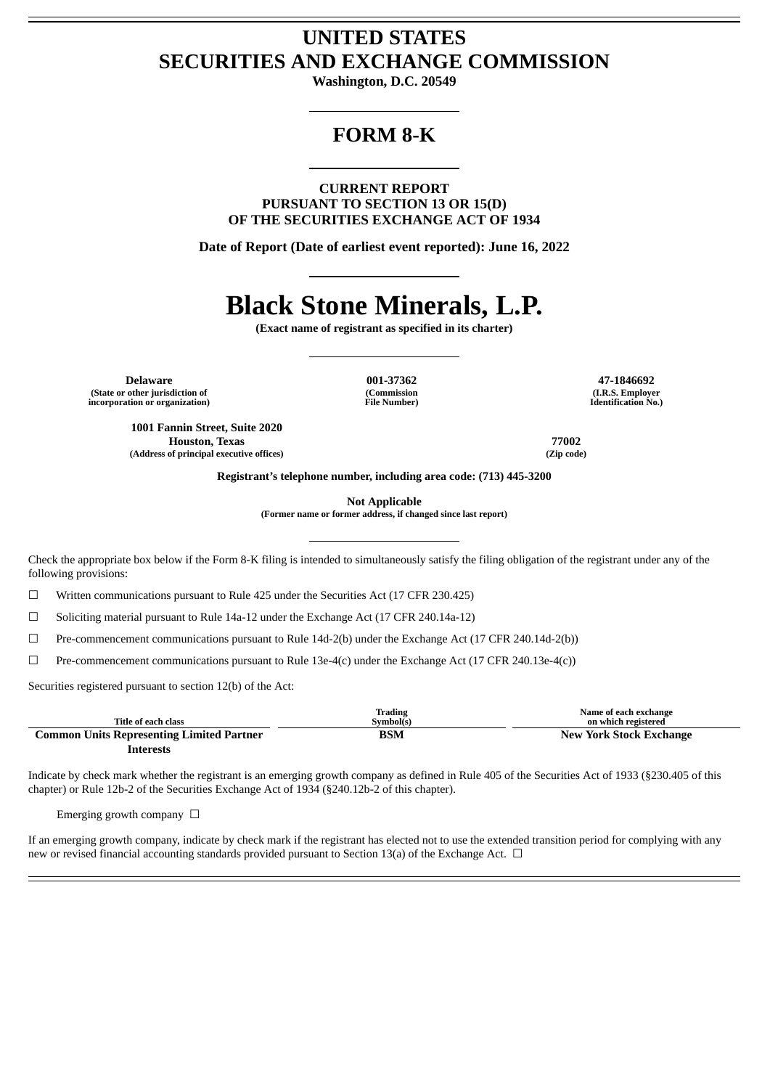## **UNITED STATES SECURITIES AND EXCHANGE COMMISSION**

**Washington, D.C. 20549**

# **FORM 8-K**

**CURRENT REPORT PURSUANT TO SECTION 13 OR 15(D) OF THE SECURITIES EXCHANGE ACT OF 1934**

**Date of Report (Date of earliest event reported): June 16, 2022**

# **Black Stone Minerals, L.P.**

**(Exact name of registrant as specified in its charter)**

**Delaware 001-37362 47-1846692 (State or other jurisdiction of incorporation or organization)**

**1001 Fannin Street, Suite 2020**

**(Commission File Number)**

**(I.R.S. Employer Identification No.)**

**Houston, Texas 77002 (Address of principal executive offices) (Zip code)**

**Registrant's telephone number, including area code: (713) 445-3200**

**Not Applicable**

**(Former name or former address, if changed since last report)**

Check the appropriate box below if the Form 8-K filing is intended to simultaneously satisfy the filing obligation of the registrant under any of the following provisions:

 $\Box$  Written communications pursuant to Rule 425 under the Securities Act (17 CFR 230.425)

 $\Box$  Soliciting material pursuant to Rule 14a-12 under the Exchange Act (17 CFR 240.14a-12)

☐ Pre-commencement communications pursuant to Rule 14d-2(b) under the Exchange Act (17 CFR 240.14d-2(b))

 $\Box$  Pre-commencement communications pursuant to Rule 13e-4(c) under the Exchange Act (17 CFR 240.13e-4(c))

Securities registered pursuant to section 12(b) of the Act:

|                                                  | <b>Trading</b> | Name of each exchange          |
|--------------------------------------------------|----------------|--------------------------------|
| Title of each class                              | Symbol(s)      | on which registered            |
| <b>Common Units Representing Limited Partner</b> | BSM            | <b>New York Stock Exchange</b> |
| Interests                                        |                |                                |

Indicate by check mark whether the registrant is an emerging growth company as defined in Rule 405 of the Securities Act of 1933 (§230.405 of this chapter) or Rule 12b-2 of the Securities Exchange Act of 1934 (§240.12b-2 of this chapter).

Emerging growth company  $\Box$ 

If an emerging growth company, indicate by check mark if the registrant has elected not to use the extended transition period for complying with any new or revised financial accounting standards provided pursuant to Section 13(a) of the Exchange Act.  $\Box$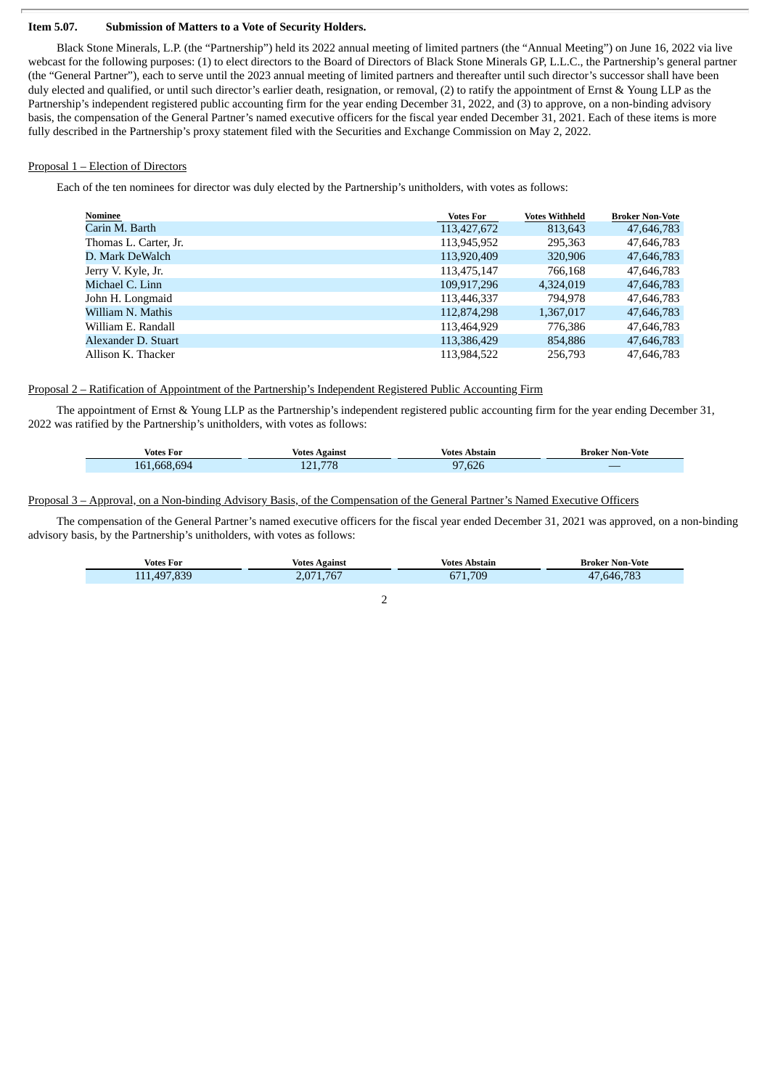#### **Item 5.07. Submission of Matters to a Vote of Security Holders.**

Black Stone Minerals, L.P. (the "Partnership") held its 2022 annual meeting of limited partners (the "Annual Meeting") on June 16, 2022 via live webcast for the following purposes: (1) to elect directors to the Board of Directors of Black Stone Minerals GP, L.L.C., the Partnership's general partner (the "General Partner"), each to serve until the 2023 annual meeting of limited partners and thereafter until such director's successor shall have been duly elected and qualified, or until such director's earlier death, resignation, or removal, (2) to ratify the appointment of Ernst & Young LLP as the Partnership's independent registered public accounting firm for the year ending December 31, 2022, and (3) to approve, on a non-binding advisory basis, the compensation of the General Partner's named executive officers for the fiscal year ended December 31, 2021. Each of these items is more fully described in the Partnership's proxy statement filed with the Securities and Exchange Commission on May 2, 2022.

#### Proposal 1 – Election of Directors

Each of the ten nominees for director was duly elected by the Partnership's unitholders, with votes as follows:

| Nominee               | <b>Votes For</b> | <b>Votes Withheld</b> | <b>Broker Non-Vote</b> |
|-----------------------|------------------|-----------------------|------------------------|
| Carin M. Barth        | 113,427,672      | 813,643               | 47,646,783             |
| Thomas L. Carter, Jr. | 113,945,952      | 295,363               | 47,646,783             |
| D. Mark DeWalch       | 113,920,409      | 320,906               | 47,646,783             |
| Jerry V. Kyle, Jr.    | 113,475,147      | 766,168               | 47,646,783             |
| Michael C. Linn       | 109,917,296      | 4,324,019             | 47,646,783             |
| John H. Longmaid      | 113,446,337      | 794.978               | 47,646,783             |
| William N. Mathis     | 112,874,298      | 1,367,017             | 47,646,783             |
| William E. Randall    | 113,464,929      | 776,386               | 47,646,783             |
| Alexander D. Stuart   | 113,386,429      | 854,886               | 47,646,783             |
| Allison K. Thacker    | 113,984,522      | 256,793               | 47,646,783             |

## Proposal 2 – Ratification of Appointment of the Partnership's Independent Registered Public Accounting Firm

The appointment of Ernst & Young LLP as the Partnership's independent registered public accounting firm for the year ending December 31, 2022 was ratified by the Partnership's unitholders, with votes as follows:

| Votes For   | <b>Votes Against</b> | Votes Abstain | <b>Broker Non-Vote</b> |
|-------------|----------------------|---------------|------------------------|
| 161.668.694 | 121,778              | ,626<br>97    |                        |

#### Proposal 3 – Approval, on a Non-binding Advisory Basis, of the Compensation of the General Partner's Named Executive Officers

The compensation of the General Partner's named executive officers for the fiscal year ended December 31, 2021 was approved, on a non-binding advisory basis, by the Partnership's unitholders, with votes as follows:

| Votes For   | Votes Against | Votes Abstain | <b>Broker Non-Vote</b> |
|-------------|---------------|---------------|------------------------|
| 111,497,839 | 2,071,767     | 671.709       | 47,646,783             |